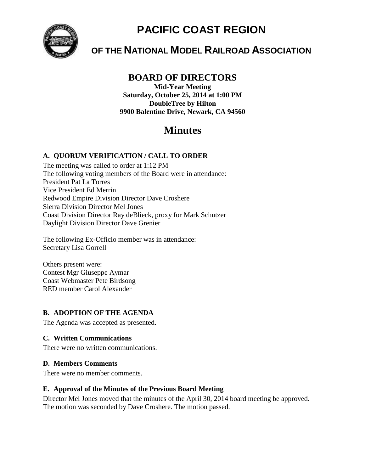

# **PACIFIC COAST REGION**

# **OF THE NATIONAL MODEL RAILROAD ASSOCIATION**

## **BOARD OF DIRECTORS**

**Mid-Year Meeting Saturday, October 25, 2014 at 1:00 PM DoubleTree by Hilton 9900 Balentine Drive, Newark, CA 94560**

# **Minutes**

### **A. QUORUM VERIFICATION / CALL TO ORDER**

The meeting was called to order at 1:12 PM The following voting members of the Board were in attendance: President Pat La Torres Vice President Ed Merrin Redwood Empire Division Director Dave Croshere Sierra Division Director Mel Jones Coast Division Director Ray deBlieck, proxy for Mark Schutzer Daylight Division Director Dave Grenier

The following Ex-Officio member was in attendance: Secretary Lisa Gorrell

Others present were: Contest Mgr Giuseppe Aymar Coast Webmaster Pete Birdsong RED member Carol Alexander

#### **B. ADOPTION OF THE AGENDA**

The Agenda was accepted as presented.

#### **C. Written Communications**

There were no written communications.

#### **D. Members Comments**

There were no member comments.

### **E. Approval of the Minutes of the Previous Board Meeting**

Director Mel Jones moved that the minutes of the April 30, 2014 board meeting be approved. The motion was seconded by Dave Croshere. The motion passed.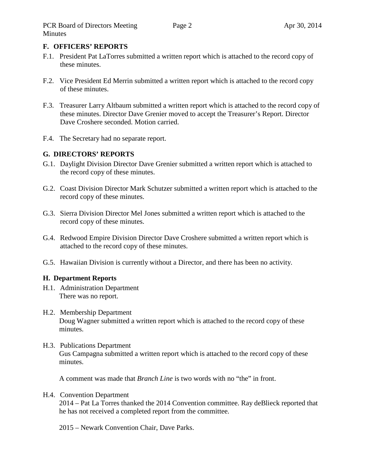#### **F. OFFICERS' REPORTS**

- F.1. President Pat LaTorres submitted a written report which is attached to the record copy of these minutes.
- F.2. Vice President Ed Merrin submitted a written report which is attached to the record copy of these minutes.
- F.3. Treasurer Larry Altbaum submitted a written report which is attached to the record copy of these minutes. Director Dave Grenier moved to accept the Treasurer's Report. Director Dave Croshere seconded. Motion carried.
- F.4. The Secretary had no separate report.

#### **G. DIRECTORS' REPORTS**

- G.1. Daylight Division Director Dave Grenier submitted a written report which is attached to the record copy of these minutes.
- G.2. Coast Division Director Mark Schutzer submitted a written report which is attached to the record copy of these minutes.
- G.3. Sierra Division Director Mel Jones submitted a written report which is attached to the record copy of these minutes.
- G.4. Redwood Empire Division Director Dave Croshere submitted a written report which is attached to the record copy of these minutes.
- G.5. Hawaiian Division is currently without a Director, and there has been no activity.

#### **H. Department Reports**

- H.1. Administration Department There was no report.
- H.2. Membership Department Doug Wagner submitted a written report which is attached to the record copy of these minutes.
- H.3. Publications Department Gus Campagna submitted a written report which is attached to the record copy of these minutes.

A comment was made that *Branch Line* is two words with no "the" in front.

#### H.4. Convention Department

2014 – Pat La Torres thanked the 2014 Convention committee. Ray deBlieck reported that he has not received a completed report from the committee.

2015 – Newark Convention Chair, Dave Parks.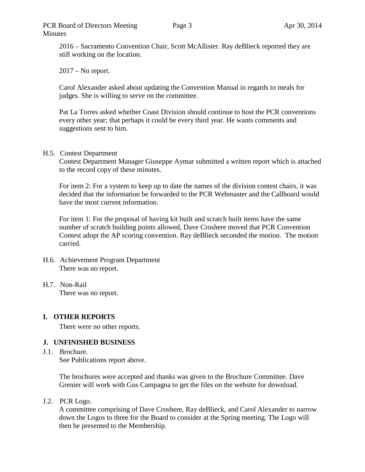#### PCR Board of Directors Meeting Minutes

2016 – Sacramento Convention Chair, Scott McAllister. Ray deBlieck reported they are still working on the location.

 $2017 - No$  report.

Carol Alexander asked about updating the Convention Manual in regards to meals for judges. She is willing to serve on the committee.

Pat La Torres asked whether Coast Division should continue to host the PCR conventions every other year; that perhaps it could be every third year. He wants comments and suggestions sent to him.

#### H.5. Contest Department

Contest Department Manager Giuseppe Aymar submitted a written report which is attached to the record copy of these minutes.

For item 2: For a system to keep up to date the names of the division contest chairs, it was decided that the information be forwarded to the PCR Webmaster and the Callboard would have the most current information.

For item 1: For the proposal of having kit built and scratch built items have the same number of scratch building points allowed, Dave Croshere moved that PCR Convention Contest adopt the AP scoring convention. Ray deBlieck seconded the motion. The motion carried.

#### H.6. Achievement Program Department There was no report.

H.7. Non-Rail There was no report.

### **I. OTHER REPORTS**

There were no other reports.

#### **J. UNFINISHED BUSINESS**

J.1. Brochure. See Publications report above.

> The brochures were accepted and thanks was given to the Brochure Committee. Dave Grenier will work with Gus Campagna to get the files on the website for download.

J.2. PCR Logo.

A committee comprising of Dave Croshere, Ray deBlieck, and Carol Alexander to narrow down the Logos to three for the Board to consider at the Spring meeting. The Logo will then be presented to the Membership.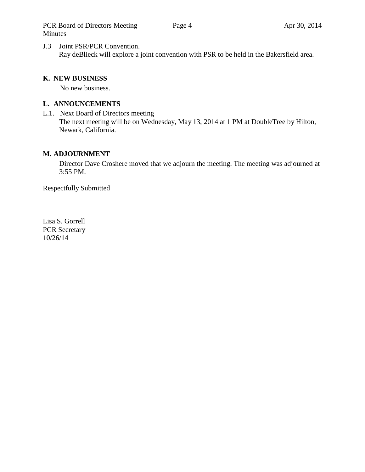PCR Board of Directors Meeting Minutes

J.3 Joint PSR/PCR Convention. Ray deBlieck will explore a joint convention with PSR to be held in the Bakersfield area.

#### **K. NEW BUSINESS**

No new business.

#### **L. ANNOUNCEMENTS**

L.1. Next Board of Directors meeting The next meeting will be on Wednesday, May 13, 2014 at 1 PM at DoubleTree by Hilton, Newark, California.

#### **M. ADJOURNMENT**

Director Dave Croshere moved that we adjourn the meeting. The meeting was adjourned at 3:55 PM.

Respectfully Submitted

Lisa S. Gorrell PCR Secretary 10/26/14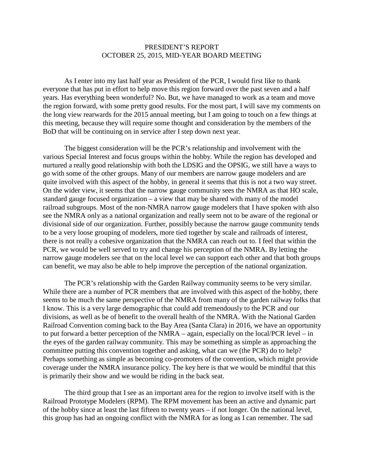#### PRESIDENT'S REPORT OCTOBER 25, 2015, MID-YEAR BOARD MEETING

As I enter into my last half year as President of the PCR, I would first like to thank everyone that has put in effort to help move this region forward over the past seven and a half years. Has everything been wonderful? No. But, we have managed to work as a team and move the region forward, with some pretty good results. For the most part, I will save my comments on the long view rearwards for the 2015 annual meeting, but I am going to touch on a few things at this meeting, because they will require some thought and consideration by the members of the BoD that will be continuing on in service after I step down next year.

The biggest consideration will be the PCR's relationship and involvement with the various Special Interest and focus groups within the hobby. While the region has developed and nurtured a really good relationship with both the LDSIG and the OPSIG, we still have a ways to go with some of the other groups. Many of our members are narrow gauge modelers and are quite involved with this aspect of the hobby, in general it seems that this is not a two way street. On the wider view, it seems that the narrow gauge community sees the NMRA as that HO scale, standard gauge focused organization – a view that may be shared with many of the model railroad subgroups. Most of the non-NMRA narrow gauge modelers that I have spoken with also see the NMRA only as a national organization and really seem not to be aware of the regional or divisional side of our organization. Further, possibly because the narrow gauge community tends to be a very loose grouping of modelers, more tied together by scale and railroads of interest, there is not really a cohesive organization that the NMRA can reach out to. I feel that within the PCR, we would be well served to try and change his perception of the NMRA. By letting the narrow gauge modelers see that on the local level we can support each other and that both groups can benefit, we may also be able to help improve the perception of the national organization.

The PCR's relationship with the Garden Railway community seems to be very similar. While there are a number of PCR members that are involved with this aspect of the hobby, there seems to be much the same perspective of the NMRA from many of the garden railway folks that I know. This is a very large demographic that could add tremendously to the PCR and our divisions, as well as be of benefit to the overall health of the NMRA. With the National Garden Railroad Convention coming back to the Bay Area (Santa Clara) in 2016, we have an opportunity to put forward a better perception of the NMRA – again, especially on the local/PCR level – in the eyes of the garden railway community. This may be something as simple as approaching the committee putting this convention together and asking, what can we (the PCR) do to help? Perhaps something as simple as becoming co-promoters of the convention, which might provide coverage under the NMRA insurance policy. The key here is that we would be mindful that this is primarily their show and we would be riding in the back seat.

The third group that I see as an important area for the region to involve itself with is the Railroad Prototype Modelers (RPM). The RPM movement has been an active and dynamic part of the hobby since at least the last fifteen to twenty years – if not longer. On the national level, this group has had an ongoing conflict with the NMRA for as long as I can remember. The sad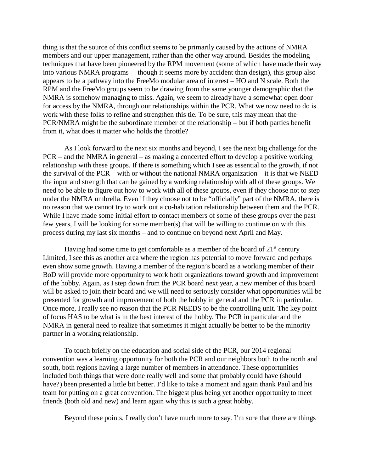thing is that the source of this conflict seems to be primarily caused by the actions of NMRA members and our upper management, rather than the other way around. Besides the modeling techniques that have been pioneered by the RPM movement (some of which have made their way into various NMRA programs – though it seems more by accident than design), this group also appears to be a pathway into the FreeMo modular area of interest – HO and N scale. Both the RPM and the FreeMo groups seem to be drawing from the same younger demographic that the NMRA is somehow managing to miss. Again, we seem to already have a somewhat open door for access by the NMRA, through our relationships within the PCR. What we now need to do is work with these folks to refine and strengthen this tie. To be sure, this may mean that the PCR/NMRA might be the subordinate member of the relationship – but if both parties benefit from it, what does it matter who holds the throttle?

As I look forward to the next six months and beyond, I see the next big challenge for the PCR – and the NMRA in general – as making a concerted effort to develop a positive working relationship with these groups. If there is something which I see as essential to the growth, if not the survival of the PCR – with or without the national NMRA organization – it is that we NEED the input and strength that can be gained by a working relationship with all of these groups. We need to be able to figure out how to work with all of these groups, even if they choose not to step under the NMRA umbrella. Even if they choose not to be "officially" part of the NMRA, there is no reason that we cannot try to work out a co-habitation relationship between them and the PCR. While I have made some initial effort to contact members of some of these groups over the past few years, I will be looking for some member(s) that will be willing to continue on with this process during my last six months – and to continue on beyond next April and May.

Having had some time to get comfortable as a member of the board of  $21<sup>st</sup>$  century Limited, I see this as another area where the region has potential to move forward and perhaps even show some growth. Having a member of the region's board as a working member of their BoD will provide more opportunity to work both organizations toward growth and improvement of the hobby. Again, as I step down from the PCR board next year, a new member of this board will be asked to join their board and we will need to seriously consider what opportunities will be presented for growth and improvement of both the hobby in general and the PCR in particular. Once more, I really see no reason that the PCR NEEDS to be the controlling unit. The key point of focus HAS to be what is in the best interest of the hobby. The PCR in particular and the NMRA in general need to realize that sometimes it might actually be better to be the minority partner in a working relationship.

To touch briefly on the education and social side of the PCR, our 2014 regional convention was a learning opportunity for both the PCR and our neighbors both to the north and south, both regions having a large number of members in attendance. These opportunities included both things that were done really well and some that probably could have (should have?) been presented a little bit better. I'd like to take a moment and again thank Paul and his team for putting on a great convention. The biggest plus being yet another opportunity to meet friends (both old and new) and learn again why this is such a great hobby.

Beyond these points, I really don't have much more to say. I'm sure that there are things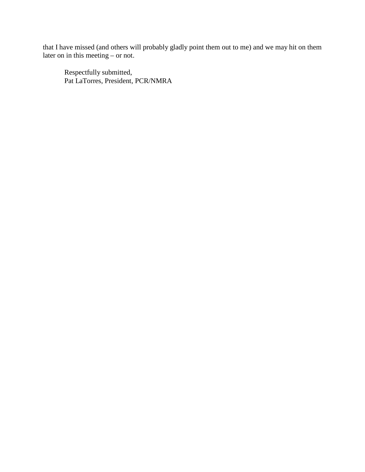that I have missed (and others will probably gladly point them out to me) and we may hit on them later on in this meeting – or not.

Respectfully submitted, Pat LaTorres, President, PCR/NMRA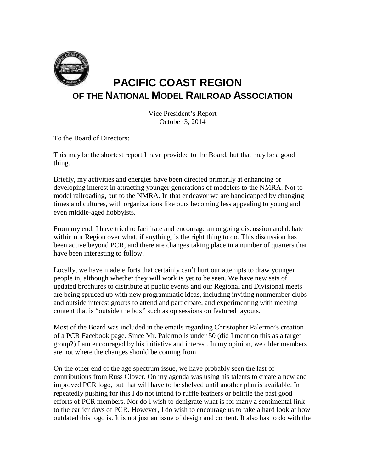

# **PACIFIC COAST REGION OF THE NATIONAL MODEL RAILROAD ASSOCIATION**

Vice President's Report October 3, 2014

To the Board of Directors:

This may be the shortest report I have provided to the Board, but that may be a good thing.

Briefly, my activities and energies have been directed primarily at enhancing or developing interest in attracting younger generations of modelers to the NMRA. Not to model railroading, but to the NMRA. In that endeavor we are handicapped by changing times and cultures, with organizations like ours becoming less appealing to young and even middle-aged hobbyists.

From my end, I have tried to facilitate and encourage an ongoing discussion and debate within our Region over what, if anything, is the right thing to do. This discussion has been active beyond PCR, and there are changes taking place in a number of quarters that have been interesting to follow.

Locally, we have made efforts that certainly can't hurt our attempts to draw younger people in, although whether they will work is yet to be seen. We have new sets of updated brochures to distribute at public events and our Regional and Divisional meets are being spruced up with new programmatic ideas, including inviting nonmember clubs and outside interest groups to attend and participate, and experimenting with meeting content that is "outside the box" such as op sessions on featured layouts.

Most of the Board was included in the emails regarding Christopher Palermo's creation of a PCR Facebook page. Since Mr. Palermo is under 50 (did I mention this as a target group?) I am encouraged by his initiative and interest. In my opinion, we older members are not where the changes should be coming from.

On the other end of the age spectrum issue, we have probably seen the last of contributions from Russ Clover. On my agenda was using his talents to create a new and improved PCR logo, but that will have to be shelved until another plan is available. In repeatedly pushing for this I do not intend to ruffle feathers or belittle the past good efforts of PCR members. Nor do I wish to denigrate what is for many a sentimental link to the earlier days of PCR. However, I do wish to encourage us to take a hard look at how outdated this logo is. It is not just an issue of design and content. It also has to do with the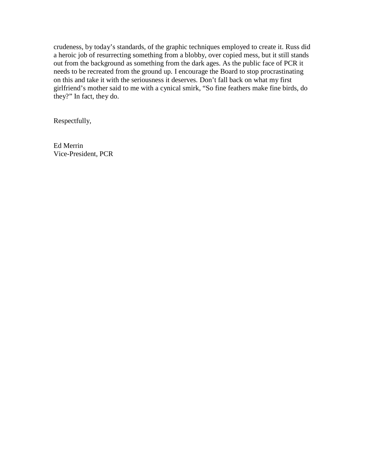crudeness, by today's standards, of the graphic techniques employed to create it. Russ did a heroic job of resurrecting something from a blobby, over copied mess, but it still stands out from the background as something from the dark ages. As the public face of PCR it needs to be recreated from the ground up. I encourage the Board to stop procrastinating on this and take it with the seriousness it deserves. Don't fall back on what my first girlfriend's mother said to me with a cynical smirk, "So fine feathers make fine birds, do they?" In fact, they do.

Respectfully,

Ed Merrin Vice-President, PCR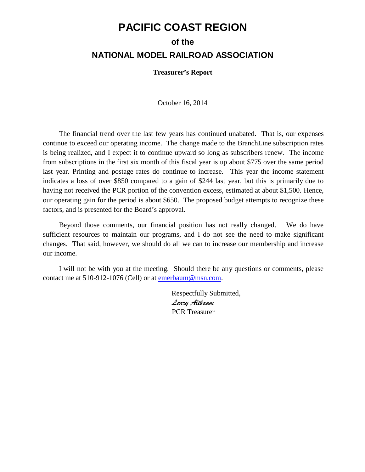## **PACIFIC COAST REGION**

## **of the NATIONAL MODEL RAILROAD ASSOCIATION**

**Treasurer's Report**

October 16, 2014

The financial trend over the last few years has continued unabated. That is, our expenses continue to exceed our operating income. The change made to the BranchLine subscription rates is being realized, and I expect it to continue upward so long as subscribers renew. The income from subscriptions in the first six month of this fiscal year is up about \$775 over the same period last year. Printing and postage rates do continue to increase. This year the income statement indicates a loss of over \$850 compared to a gain of \$244 last year, but this is primarily due to having not received the PCR portion of the convention excess, estimated at about \$1,500. Hence, our operating gain for the period is about \$650. The proposed budget attempts to recognize these factors, and is presented for the Board's approval.

Beyond those comments, our financial position has not really changed. We do have sufficient resources to maintain our programs, and I do not see the need to make significant changes. That said, however, we should do all we can to increase our membership and increase our income.

I will not be with you at the meeting. Should there be any questions or comments, please contact me at 510-912-1076 (Cell) or at [emerbaum@msn.com.](mailto:emerbaum@msn.com)

> Respectfully Submitted, *Larry Altbaum* PCR Treasurer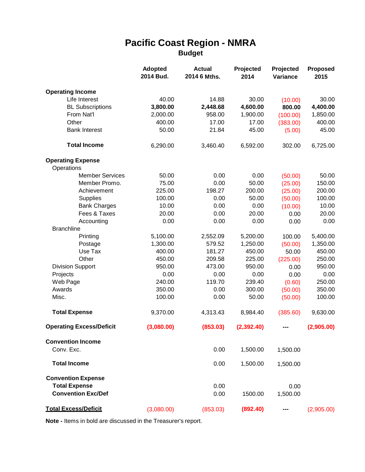## **Pacific Coast Region - NMRA Budget**

|                                 | <b>Adopted</b><br>2014 Bud. | <b>Actual</b><br>2014 6 Mths. | Projected<br>2014 | Projected<br>Variance | <b>Proposed</b><br>2015 |  |
|---------------------------------|-----------------------------|-------------------------------|-------------------|-----------------------|-------------------------|--|
| <b>Operating Income</b>         |                             |                               |                   |                       |                         |  |
| Life Interest                   | 40.00                       | 14.88                         | 30.00             | (10.00)               | 30.00                   |  |
| <b>BL Subscriptions</b>         | 3,800.00                    | 2,448.68                      | 4,600.00          | 800.00                | 4,400.00                |  |
| From Nat'l                      | 2,000.00                    | 958.00                        | 1,900.00          | (100.00)              | 1,850.00                |  |
| Other                           | 400.00                      | 17.00                         | 17.00             | (383.00)              | 400.00                  |  |
| <b>Bank Interest</b>            | 50.00                       | 21.84                         | 45.00             | (5.00)                | 45.00                   |  |
| <b>Total Income</b>             | 6,290.00                    | 3,460.40                      | 6,592.00          | 302.00                | 6,725.00                |  |
| <b>Operating Expense</b>        |                             |                               |                   |                       |                         |  |
| Operations                      |                             |                               |                   |                       |                         |  |
| <b>Member Services</b>          | 50.00                       | 0.00                          | 0.00              | (50.00)               | 50.00                   |  |
| Member Promo.                   | 75.00                       | 0.00                          | 50.00             | (25.00)               | 150.00                  |  |
| Achievement                     | 225.00                      | 198.27                        | 200.00            | (25.00)               | 200.00                  |  |
| <b>Supplies</b>                 | 100.00                      | 0.00                          | 50.00             | (50.00)               | 100.00                  |  |
| <b>Bank Charges</b>             | 10.00                       | 0.00                          | 0.00              | (10.00)               | 10.00                   |  |
| Fees & Taxes                    | 20.00                       | 0.00                          | 20.00             | 0.00                  | 20.00                   |  |
| Accounting                      | 0.00                        | 0.00                          | 0.00              | 0.00                  | 0.00                    |  |
| <b>Branchline</b>               |                             |                               |                   |                       |                         |  |
| Printing                        | 5,100.00                    | 2,552.09                      | 5,200.00          | 100.00                | 5,400.00                |  |
| Postage                         | 1,300.00                    | 579.52                        | 1,250.00          | (50.00)               | 1,350.00                |  |
| Use Tax                         | 400.00                      | 181.27                        | 450.00            | 50.00                 | 450.00                  |  |
| Other                           | 450.00                      | 209.58                        | 225.00            | (225.00)              | 250.00                  |  |
| <b>Division Support</b>         | 950.00                      | 473.00                        | 950.00            | 0.00                  | 950.00                  |  |
| Projects                        | 0.00                        | 0.00                          | 0.00              | 0.00                  | 0.00                    |  |
| Web Page                        | 240.00                      | 119.70                        | 239.40            | (0.60)                | 250.00                  |  |
| Awards                          | 350.00                      | 0.00                          | 300.00            | (50.00)               | 350.00                  |  |
| Misc.                           | 100.00                      | 0.00                          | 50.00             | (50.00)               | 100.00                  |  |
| <b>Total Expense</b>            | 9,370.00                    | 4,313.43                      | 8,984.40          | (385.60)              | 9,630.00                |  |
| <b>Operating Excess/Deficit</b> | (3,080.00)                  | (853.03)                      | (2, 392.40)       |                       | (2,905.00)              |  |
| <b>Convention Income</b>        |                             |                               |                   |                       |                         |  |
| Conv. Exc.                      |                             | 0.00                          | 1,500.00          | 1,500.00              |                         |  |
| <b>Total Income</b>             |                             | 0.00                          | 1,500.00          | 1,500.00              |                         |  |
| <b>Convention Expense</b>       |                             |                               |                   |                       |                         |  |
| <b>Total Expense</b>            |                             | 0.00                          |                   | 0.00                  |                         |  |
| <b>Convention Exc/Def</b>       |                             | 0.00                          | 1500.00           | 1,500.00              |                         |  |
| <b>Total Excess/Deficit</b>     | (3,080.00)                  | (853.03)                      | (892.40)          |                       | (2,905.00)              |  |

**Note -** Items in bold are discussed in the Treasurer's report.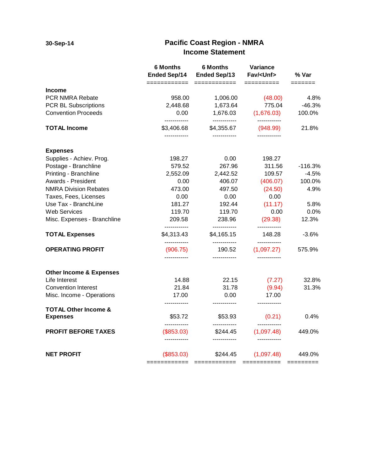### **Pacific Coast Region - NMRA Income Statement**

|                                    | <b>6 Months</b><br><b>Ended Sep/14</b><br>=========== | <b>6 Months</b><br><b>Ended Sep/13</b> | Variance<br>Fav/ <unf></unf> | % Var<br>$=$ $=$ $=$ $=$ $=$ $=$ $=$ |  |
|------------------------------------|-------------------------------------------------------|----------------------------------------|------------------------------|--------------------------------------|--|
| Income                             |                                                       |                                        | ==========                   |                                      |  |
| <b>PCR NMRA Rebate</b>             | 958.00                                                | 1,006.00                               | (48.00)                      | 4.8%                                 |  |
| PCR BL Subscriptions               | 2,448.68                                              | 1,673.64                               | 775.04                       | $-46.3%$                             |  |
| <b>Convention Proceeds</b>         | 0.00<br>------------                                  | 1,676.03<br>------------               | (1,676.03)                   | 100.0%                               |  |
| <b>TOTAL Income</b>                | \$3,406.68                                            | \$4,355.67                             | (948.99)                     | 21.8%                                |  |
| <b>Expenses</b>                    |                                                       |                                        |                              |                                      |  |
| Supplies - Achiev. Prog.           | 198.27                                                | 0.00                                   | 198.27                       |                                      |  |
| Postage - Branchline               | 579.52                                                | 267.96                                 | 311.56                       | $-116.3%$                            |  |
| Printing - Branchline              | 2,552.09                                              | 2,442.52                               | 109.57                       | $-4.5%$                              |  |
| Awards - President                 | 0.00                                                  | 406.07                                 | (406.07)                     | 100.0%                               |  |
| <b>NMRA Division Rebates</b>       | 473.00                                                | 497.50                                 | (24.50)                      | 4.9%                                 |  |
| Taxes, Fees, Licenses              | 0.00                                                  | 0.00                                   | 0.00                         |                                      |  |
| Use Tax - BranchLine               | 181.27                                                | 192.44                                 | (11.17)                      | 5.8%                                 |  |
| <b>Web Services</b>                | 119.70                                                | 119.70                                 | 0.00                         | 0.0%                                 |  |
| Misc. Expenses - Branchline        | 209.58<br>------------                                | 238.96<br>------------                 | (29.38)<br>------------      | 12.3%                                |  |
| <b>TOTAL Expenses</b>              | \$4,313.43<br>------------                            | \$4,165.15                             | 148.28<br>------------       | $-3.6%$                              |  |
| <b>OPERATING PROFIT</b>            | (906.75)                                              | 190.52<br>------------                 | (1,097.27)                   | 575.9%                               |  |
| <b>Other Income &amp; Expenses</b> |                                                       |                                        |                              |                                      |  |
| Life Interest                      | 14.88                                                 | 22.15                                  | (7.27)                       | 32.8%                                |  |
| <b>Convention Interest</b>         | 21.84                                                 | 31.78                                  | (9.94)                       | 31.3%                                |  |
| Misc. Income - Operations          | 17.00                                                 | 0.00                                   | 17.00                        |                                      |  |
| <b>TOTAL Other Income &amp;</b>    |                                                       |                                        |                              |                                      |  |
| <b>Expenses</b>                    | \$53.72                                               | \$53.93                                | (0.21)                       | 0.4%                                 |  |
| <b>PROFIT BEFORE TAXES</b>         | (\$853.03)                                            | \$244.45                               | (1,097.48)                   | 449.0%                               |  |
| <b>NET PROFIT</b>                  | (\$853.03)                                            | \$244.45                               | (1,097.48)                   | 449.0%                               |  |
|                                    | =====                                                 | $=$ = = = = = = = = = = = =            | ===========                  | =========                            |  |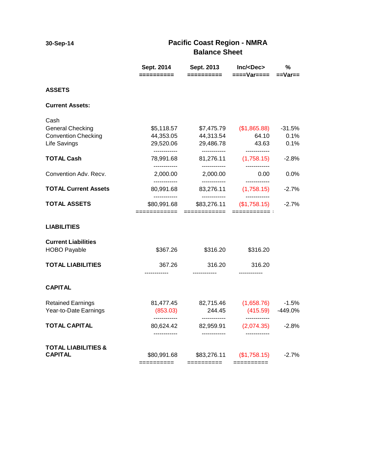**30-Sep-14**

### **Pacific Coast Region - NMRA Balance Sheet**

|                                                               | Sept. 2014                                | Sept. 2013<br>==========                  | Inc/ <dec><br/>====Var====</dec>           | $\%$<br>$==Var ==$ |  |
|---------------------------------------------------------------|-------------------------------------------|-------------------------------------------|--------------------------------------------|--------------------|--|
|                                                               |                                           |                                           |                                            |                    |  |
| <b>ASSETS</b>                                                 |                                           |                                           |                                            |                    |  |
| <b>Current Assets:</b>                                        |                                           |                                           |                                            |                    |  |
| Cash<br><b>General Checking</b><br><b>Convention Checking</b> | \$5,118.57<br>44,353.05                   | \$7,475.79<br>44,313.54                   | (\$1,865.88)<br>64.10                      | $-31.5%$<br>0.1%   |  |
| Life Savings                                                  | 29,520.06                                 | 29,486.78                                 | 43.63                                      | 0.1%               |  |
| <b>TOTAL Cash</b>                                             | ------------<br>78,991.68<br>------------ | ------------<br>81,276.11<br>------------ | ------------<br>(1,758.15)<br>------------ | $-2.8\%$           |  |
| Convention Adv. Recv.                                         | 2,000.00<br>------------                  | 2,000.00<br>------------                  | 0.00<br>------------                       | $0.0\%$            |  |
| <b>TOTAL Current Assets</b>                                   | 80,991.68<br>------------                 | 83,276.11<br>------------                 | (1,758.15)                                 | $-2.7%$            |  |
| <b>TOTAL ASSETS</b>                                           | \$80,991.68<br>============               | \$83,276.11<br>============               | (\$1,758.15)                               | $-2.7%$            |  |
| <b>LIABILITIES</b>                                            |                                           |                                           |                                            |                    |  |
| <b>Current Liabilities</b><br><b>HOBO Payable</b>             | \$367.26                                  | \$316.20                                  | \$316.20                                   |                    |  |
| <b>TOTAL LIABILITIES</b>                                      | 367.26                                    | 316.20                                    | 316.20                                     |                    |  |
| <b>CAPITAL</b>                                                |                                           |                                           |                                            |                    |  |
| <b>Retained Earnings</b><br>Year-to-Date Earnings             | 81,477.45<br>(853.03)<br>------------     | 82,715.46<br>244.45                       | (1,658.76)<br>(415.59)                     | $-1.5%$<br>-449.0% |  |
| <b>TOTAL CAPITAL</b>                                          | 80,624.42<br>------------                 | ------------<br>82,959.91<br>------------ | ------------<br>(2,074.35)                 | $-2.8%$            |  |
| <b>TOTAL LIABILITIES &amp;</b><br><b>CAPITAL</b>              | \$80,991.68<br>==========                 | \$83,276.11<br>==========                 | (\$1,758.15)                               | $-2.7%$            |  |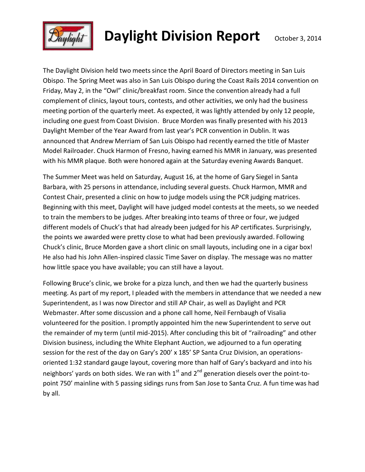

# **Daylight Division Report** October 3, 2014

The Daylight Division held two meets since the April Board of Directors meeting in San Luis Obispo. The Spring Meet was also in San Luis Obispo during the Coast Rails 2014 convention on Friday, May 2, in the "Owl" clinic/breakfast room. Since the convention already had a full complement of clinics, layout tours, contests, and other activities, we only had the business meeting portion of the quarterly meet. As expected, it was lightly attended by only 12 people, including one guest from Coast Division. Bruce Morden was finally presented with his 2013 Daylight Member of the Year Award from last year's PCR convention in Dublin. It was announced that Andrew Merriam of San Luis Obispo had recently earned the title of Master Model Railroader. Chuck Harmon of Fresno, having earned his MMR in January, was presented with his MMR plaque. Both were honored again at the Saturday evening Awards Banquet.

The Summer Meet was held on Saturday, August 16, at the home of Gary Siegel in Santa Barbara, with 25 persons in attendance, including several guests. Chuck Harmon, MMR and Contest Chair, presented a clinic on how to judge models using the PCR judging matrices. Beginning with this meet, Daylight will have judged model contests at the meets, so we needed to train the membersto be judges. After breaking into teams of three or four, we judged different models of Chuck's that had already been judged for his AP certificates. Surprisingly, the points we awarded were pretty close to what had been previously awarded. Following Chuck's clinic, Bruce Morden gave a short clinic on small layouts, including one in a cigar box! He also had his John Allen-inspired classic Time Saver on display. The message was no matter how little space you have available; you can still have a layout.

Following Bruce's clinic, we broke for a pizza lunch, and then we had the quarterly business meeting. As part of my report, I pleaded with the members in attendance that we needed a new Superintendent, as I was now Director and still AP Chair, as well as Daylight and PCR Webmaster. After some discussion and a phone call home, Neil Fernbaugh of Visalia volunteered for the position. I promptly appointed him the new Superintendent to serve out the remainder of my term (until mid-2015). After concluding this bit of "railroading" and other Division business, including the White Elephant Auction, we adjourned to a fun operating session for the rest of the day on Gary's 200' x 185' SP Santa Cruz Division, an operationsoriented 1:32 standard gauge layout, covering more than half of Gary's backyard and into his neighbors' yards on both sides. We ran with  $1<sup>st</sup>$  and  $2<sup>nd</sup>$  generation diesels over the point-topoint 750' mainline with 5 passing sidings runs from San Jose to Santa Cruz. A fun time was had by all.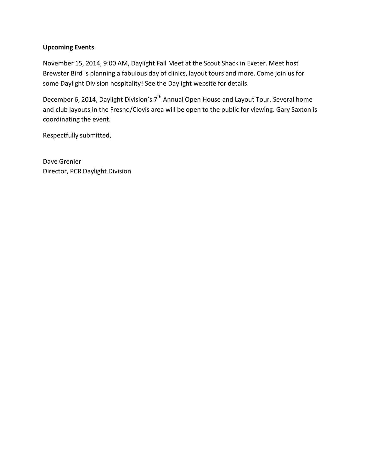#### **Upcoming Events**

November 15, 2014, 9:00 AM, Daylight Fall Meet at the Scout Shack in Exeter. Meet host Brewster Bird is planning a fabulous day of clinics, layout tours and more. Come join us for some Daylight Division hospitality! See the Daylight website for details.

December 6, 2014, Daylight Division's 7<sup>th</sup> Annual Open House and Layout Tour. Several home and club layouts in the Fresno/Clovis area will be open to the public for viewing. Gary Saxton is coordinating the event.

Respectfully submitted,

Dave Grenier Director, PCR Daylight Division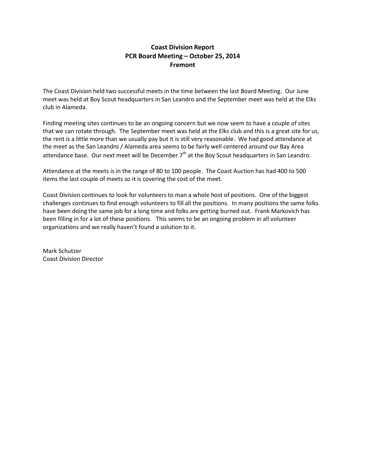#### **Coast Division Report PCR Board Meeting – October 25, 2014 Fremont**

The Coast Division held two successful meets in the time between the last Board Meeting. Our June meet was held at Boy Scout headquarters in San Leandro and the September meet was held at the Elks club in Alameda.

Finding meeting sites continues to be an ongoing concern but we now seem to have a couple of sites that we can rotate through. The September meet was held at the Elks club and this is a great site for us, the rent is a little more than we usually pay but it is still very reasonable. We had good attendance at the meet as the San Leandro / Alameda area seems to be fairly well centered around our Bay Area attendance base. Our next meet will be December  $7<sup>th</sup>$  at the Boy Scout headquarters in San Leandro.

Attendance at the meets is in the range of 80 to 100 people. The Coast Auction has had 400 to 500 items the last couple of meets so it is covering the cost of the meet.

Coast Division continues to look for volunteers to man a whole host of positions. One of the biggest challenges continues to find enough volunteers to fill all the positions. In many positions the same folks have been doing the same job for a long time and folks are getting burned out. Frank Markovich has been filling in for a lot of these positions. This seems to be an ongoing problem in all volunteer organizations and we really haven't found a solution to it.

Mark Schutzer Coast Division Director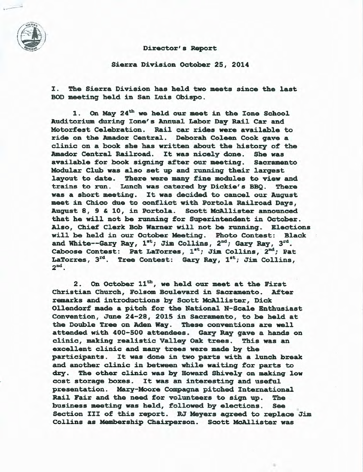

#### Director's Report

Sierra Division October 25, 2014

I. The Sierra Division has held two meets since the last BOD meeting held in San Luis Obispo.

On May 24<sup>th</sup> we held our meet in the Ione School  $1.$ Auditorium during Ione's Annual Labor Day Rail Car and Motorfest Celebration. Rail car rides were available to ride on the Amador Central. Deborah Coleen Cook gave a clinic on a book she has written about the history of the Amador Central Railroad. It was nicely done. She was available for book signing after our meeting. Sacramento Modular Club was also set up and running their largest layout to date. There were many fine modules to view and trains to run. Lunch was catered by Dickie's BBQ. There was a short meeting. It was decided to cancel our August meet in Chico due to conflict with Portola Railroad Days, August 8, 9 & 10, in Portola. Scott McAllister announced that he will not be running for Superintendent in October. Also, Chief Clerk Bob Warner will not be running. Elections will be held in our October Meeting. Photo Contest: Black and White--Gary Ray,  $1^{st}$ ; Jim Collins,  $2^{nd}$ ; Gary Ray,  $3^{rd}$ . Caboose Contest: Pat LaTorres, 1st; Jim Collins, 2<sup>nd</sup>; Pat LaTorres, 3<sup>rd</sup>. Tree Contest: Gary Ray, 1<sup>st</sup>; Jim Collins,  $2<sup>nd</sup>$ .

On October 11<sup>th</sup>, we held our meet at the First  $2.$ Christian Church, Folsom Boulevard in Sacramento. After remarks and introductions by Scott McAllister, Dick Ollendorf made a pitch for the National N-Scale Enthusiast Convention, June 24-28, 2015 in Sacramento, to be held at the Double Tree on Aden Way. These conventions are well attended with 400-500 attendees. Gary Ray gave a hands on clinic, making realistic Valley Oak trees. This was an excellent clinic and many trees were made by the participants. It was done in two parts with a lunch break and another clinic in between while waiting for parts to dry. The other clinic was by Howard Shively on making low cost storage boxes. It was an interesting and useful presentation. Mary-Moore Compagna pitched International Rail Fair and the need for volunteers to sign up. The business meeting was held, followed by elections. **See** Section III of this report. RJ Meyers agreed to replace Jim Collins as Membership Chairperson. Scott McAllister was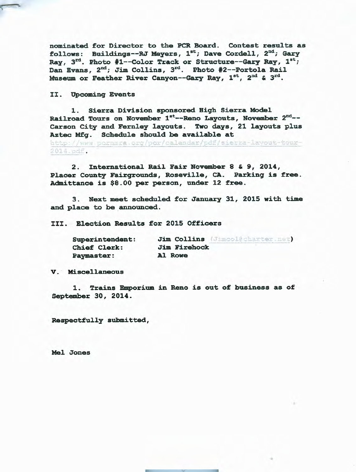nominated for Director to the PCR Board. Contest results as follows: Buildings--RJ Meyers, 1st; Dave Cordell, 2nd; Gary Ray,  $3^{rd}$ . Photo #1--Color Track or Structure--Gary Ray,  $1^{st}$ ; Dan Evans, 2<sup>nd</sup>; Jim Collins, 3<sup>rd</sup>. Photo #2--Portola Rail Museum or Feather River Canyon--Gary Ray, 1<sup>st</sup>, 2<sup>nd</sup> & 3<sup>rd</sup>.

II. Upcoming Events

1. Sierra Division sponsored High Sierra Model Railroad Tours on November 1st--Reno Layouts, November 2nd--Carson City and Fernley layouts. Two days, 21 layouts plus Aztec Mfg. Schedule should be available at http://www.pornmra.org/por/calendar/pdf/sierra-lavout-tour-

 $2014.$ odf.

2. International Rail Fair November 8 & 9, 2014, Placer County Fairgrounds, Roseville, CA. Parking is free. Admittance is \$8.00 per person, under 12 free.

3. Next meet scheduled for January 31, 2015 with time and place to be announced.

III. Election Results for 2015 Officers

| <b>Superintendent:</b> | Jim Collins (Jimcolecharter.net) |
|------------------------|----------------------------------|
| <b>Chief Clerk:</b>    | <b>Jim Firehock</b>              |
| <b>Paymaster:</b>      | Al Rowe                          |

V. Miscellaneous

1. Trains Emporium in Reno is out of business as of September 30, 2014.

Respectfully submitted,

Mel Jones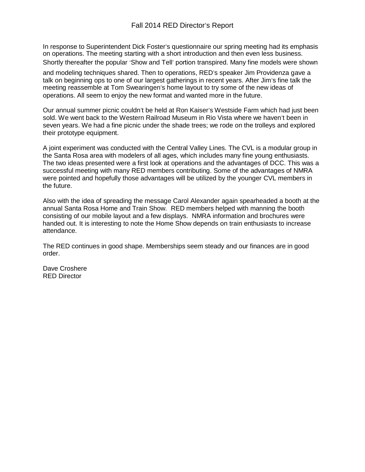#### Fall 2014 RED Director's Report

In response to Superintendent Dick Foster's questionnaire our spring meeting had its emphasis on operations. The meeting starting with a short introduction and then even less business. Shortly thereafter the popular 'Show and Tell' portion transpired. Many fine models were shown

and modeling techniques shared. Then to operations, RED's speaker Jim Providenza gave a talk on beginning ops to one of our largest gatherings in recent years. After Jim's fine talk the meeting reassemble at Tom Swearingen's home layout to try some of the new ideas of operations. All seem to enjoy the new format and wanted more in the future.

Our annual summer picnic couldn't be held at Ron Kaiser's Westside Farm which had just been sold. We went back to the Western Railroad Museum in Rio Vista where we haven't been in seven years. We had a fine picnic under the shade trees; we rode on the trolleys and explored their prototype equipment.

A joint experiment was conducted with the Central Valley Lines. The CVL is a modular group in the Santa Rosa area with modelers of all ages, which includes many fine young enthusiasts. The two ideas presented were a first look at operations and the advantages of DCC. This was a successful meeting with many RED members contributing. Some of the advantages of NMRA were pointed and hopefully those advantages will be utilized by the younger CVL members in the future.

Also with the idea of spreading the message Carol Alexander again spearheaded a booth at the annual Santa Rosa Home and Train Show. RED members helped with manning the booth consisting of our mobile layout and a few displays. NMRA information and brochures were handed out. It is interesting to note the Home Show depends on train enthusiasts to increase attendance.

The RED continues in good shape. Memberships seem steady and our finances are in good order.

Dave Croshere RED Director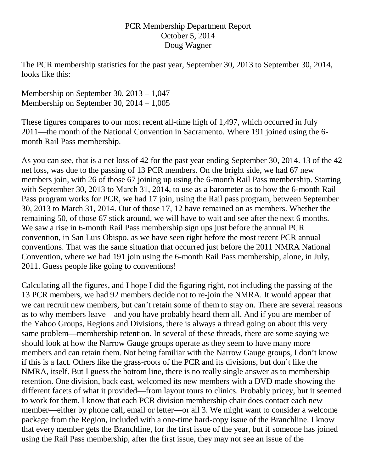### PCR Membership Department Report October 5, 2014 Doug Wagner

The PCR membership statistics for the past year, September 30, 2013 to September 30, 2014, looks like this:

Membership on September 30, 2013 – 1,047 Membership on September 30, 2014 – 1,005

These figures compares to our most recent all-time high of 1,497, which occurred in July 2011—the month of the National Convention in Sacramento. Where 191 joined using the 6 month Rail Pass membership.

As you can see, that is a net loss of 42 for the past year ending September 30, 2014. 13 of the 42 net loss, was due to the passing of 13 PCR members. On the bright side, we had 67 new members join, with 26 of those 67 joining up using the 6-month Rail Pass membership. Starting with September 30, 2013 to March 31, 2014, to use as a barometer as to how the 6-month Rail Pass program works for PCR, we had 17 join, using the Rail pass program, between September 30, 2013 to March 31, 2014. Out of those 17, 12 have remained on as members. Whether the remaining 50, of those 67 stick around, we will have to wait and see after the next 6 months. We saw a rise in 6-month Rail Pass membership sign ups just before the annual PCR convention, in San Luis Obispo, as we have seen right before the most recent PCR annual conventions. That was the same situation that occurred just before the 2011 NMRA National Convention, where we had 191 join using the 6-month Rail Pass membership, alone, in July, 2011. Guess people like going to conventions!

Calculating all the figures, and I hope I did the figuring right, not including the passing of the 13 PCR members, we had 92 members decide not to re-join the NMRA. It would appear that we can recruit new members, but can't retain some of them to stay on. There are several reasons as to why members leave—and you have probably heard them all. And if you are member of the Yahoo Groups, Regions and Divisions, there is always a thread going on about this very same problem—membership retention. In several of these threads, there are some saying we should look at how the Narrow Gauge groups operate as they seem to have many more members and can retain them. Not being familiar with the Narrow Gauge groups, I don't know if this is a fact. Others like the grass-roots of the PCR and its divisions, but don't like the NMRA, itself. But I guess the bottom line, there is no really single answer as to membership retention. One division, back east, welcomed its new members with a DVD made showing the different facets of what it provided—from layout tours to clinics. Probably pricey, but it seemed to work for them. I know that each PCR division membership chair does contact each new member—either by phone call, email or letter—or all 3. We might want to consider a welcome package from the Region, included with a one-time hard-copy issue of the Branchline. I know that every member gets the Branchline, for the first issue of the year, but if someone has joined using the Rail Pass membership, after the first issue, they may not see an issue of the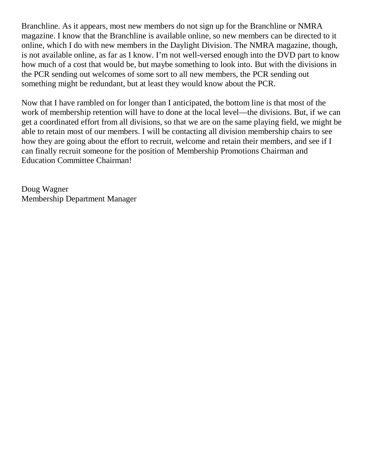Branchline. As it appears, most new members do not sign up for the Branchline or NMRA magazine. I know that the Branchline is available online, so new members can be directed to it online, which I do with new members in the Daylight Division. The NMRA magazine, though, is not available online, as far as I know. I'm not well-versed enough into the DVD part to know how much of a cost that would be, but maybe something to look into. But with the divisions in the PCR sending out welcomes of some sort to all new members, the PCR sending out something might be redundant, but at least they would know about the PCR.

Now that I have rambled on for longer than I anticipated, the bottom line is that most of the work of membership retention will have to done at the local level—the divisions. But, if we can get a coordinated effort from all divisions, so that we are on the same playing field, we might be able to retain most of our members. I will be contacting all division membership chairs to see how they are going about the effort to recruit, welcome and retain their members, and see if I can finally recruit someone for the position of Membership Promotions Chairman and Education Committee Chairman!

Doug Wagner Membership Department Manager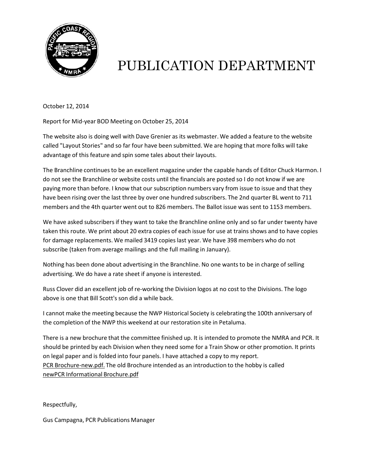

# PUBLICATION DEPARTMENT

October 12, 2014

Report for Mid-year BOD Meeting on October 25, 2014

The website also is doing well with Dave Grenier as its webmaster. We added a feature to the website called "Layout Stories" and so far four have been submitted. We are hoping that more folks will take advantage of this feature and spin some tales about their layouts.

The Branchline continuesto be an excellent magazine under the capable hands of Editor Chuck Harmon. I do not see the Branchline or website costs until the financials are posted so I do not know if we are paying more than before. I know that our subscription numbers vary from issue to issue and that they have been rising over the last three by over one hundred subscribers. The 2nd quarter BL went to 711 members and the 4th quarter went out to 826 members. The Ballot issue was sent to 1153 members.

We have asked subscribers if they want to take the Branchline online only and so far under twenty have taken this route. We print about 20 extra copies of each issue for use at trains shows and to have copies for damage replacements. We mailed 3419 copies last year. We have 398 members who do not subscribe (taken from average mailings and the full mailing in January).

Nothing has been done about advertising in the Branchline. No one wants to be in charge of selling advertising. We do have a rate sheet if anyone is interested.

Russ Clover did an excellent job of re-working the Division logos at no cost to the Divisions. The logo above is one that Bill Scott's son did a while back.

I cannot make the meeting because the NWP Historical Society is celebrating the 100th anniversary of the completion of the NWP this weekend at our restoration site in Petaluma.

There is a new brochure that the committee finished up. It is intended to promote the NMRA and PCR. It should be printed by each Division when they need some for a Train Show or other promotion. It prints on legal paper and is folded into four panels. I have attached a copy to my report. PCR Brochure-new.pdf. The old Brochure intended as an introduction to the hobby is called newPCR Informational Brochure.pdf

Respectfully,

Gus Campagna, PCR Publications Manager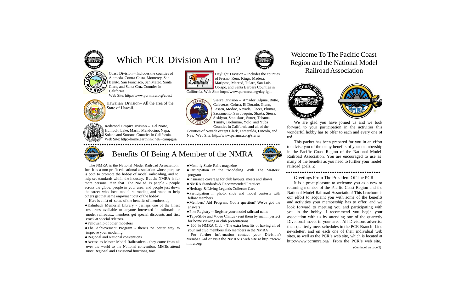

# Which PCR Division Am I In?<br>Region and the National Model



Coast Division – Includes the counties of Alameda, Contra Costa, Monterey, San Benito, San Francisco, San Mateo, Santa Clara, and Santa Cruz Counties in California.

Redwood EmpireDivision – Del Norte, Humbolt, Lake, Marin, Mendocino, Napa, **Solano and Sonoma Counties in California.** Web Site: <http://home.earthlink.net/~campgus/>



Web Site: <http://www.pcrnmra.org/coast>



Hawaiian Division– All the area of the State of Hawaii.

# Region and the National Model Railroad Association



Daylight Division – Includes the counties of Fresno, Kern, Kings, Madera, Mariposa, Merced, Tulare, San Luis Obispo, and Santa Barbara Counties in

California. Web Site: <http://www.pcrnmra.org/daylight>



Sierra Division – Amador, Alpine, Butte, Calaveras, Colusa, El Dorado, Glenn, Lassen, Modoc, Nevada, Placer, Plumas, Sacramento, San Joaquin, Shasta, Sierra, Siskiyou, Stanislaus, Sutter, Tehama, Trinity, Tuolumne, Yolo, and Yuba

Counties in California and all of the Counties of Nevada except Clark, Esmeralda, Lincoln, and Nye. Web Site: <http://www.pcrnmra.org/sierra>



We are glad you have joined us and we look forward to your participation in the activities this wonderful hobby has to offer to each and every one of us!

The NMRA is the National Model Railroad Association, Inc. It is a non-profit educational association whose purpose is both to promote the hobby of model railroading, and to help set standards within the industry. But the NMRA is far more personal than that. The NMRA is people - people across the globe, people in your area, and people just down the street who love model railroading and want to help others get that same enjoyment out of the hobby.

Here is a list of some of the benefits of membership:

This packet has been prepared for you in an effort to advise you of the many benefits of your membership Benefits Of Being A Member of the NMRA Railroad Association. You are encouraged to use as many of the benefits as you need to further your model railroad goals. Z

#### 

- ♦Kalmbach Memorial Library perhaps one of the finest resources available to anyone interested in railroads or model railroads... members get special discounts and first crack at special releases.
- ♦Fellowship of other modelers
- ♦The Achievement Program there's no better way to improve your modeling
- ♦Regional and National conventions
- ♦Access to Master Model Railroaders they come from all over the world to the National convention. MMRs attend most Regional and Divisional functions, too!
- ♦Monthly Scale Rails magazine
- ♦Participation in the "Modeling With The Masters" program
- ♦Insurance coverage for club layouts, meets and shows
- ♦NMRA Standards & Recommended Practices
- ♦Heritage & Living Legends Collector Cars
- ♦Participation in photo, slide and model contests with fellow members
- ♦Members' Aid Program. Got <sup>a</sup> question? We've got the answers!
- ♦Pike Registry -- Register your model railroad name
- ♦Tape/Slide and Video Clinics rent them by mail... perfect for home viewing or club presentations
- $\triangle$  100 % NMRA Club The extra benefits of having all of your rail club members also members in the NMRA

For further information contact your Division's Member Aid or visit the NMRA's web site at [http://www.](http://www/) nmra.org/

#### Greetings From The President Of The PCR

It is a great pleasure to welcome you as a new or returning member of the Pacific Coast Region and the National Model Railroad Association! This brochure is our effort to acquaint you with some of the benefits and activities your membership has to offer, and we look forward to meeting you and participating with you in the hobby. I recommend you begin your association with us by attending one of the quarterly Divisional meets in your area. All Divisions advertise their quarterly meet schedules in the PCR Branch Line newsletter, and on each one of their individual web sites, as well as the PCR's web site, which is located a[t](http://www.pcrnmra.org/) [http://www.pcrnmra.org/. F](http://www.pcrnmra.org/)rom the PCR's web site,



(Continued on page 2)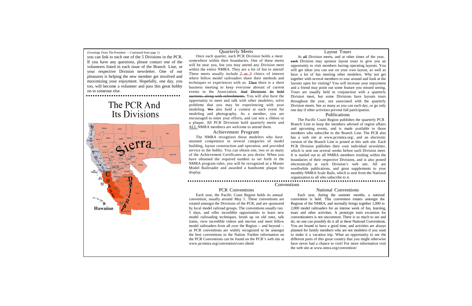(Greetings From The President — Continued from page 1)

you can link to each one of the 5 Divisions in the PCR. If you have any questions, please contact one of the volunteers listed in each issue of the Branch Line, or your respective Division newsletter. One of our pleasures is helping the new member get involved and maximizing your enjoyment. Hopefully, one day, you too, will become a volunteer and pass this great hobby on to someone else.

# The PCR And Its Divisions



#### Quarterly Meets

Once each quarter, each PCR Division holds a meet somewhere within their boundaries. One of these meets will be near you, but you may attend any Division meet within the entire NMRA. They are a lot of fun to attend! These meets usually include 2 or 3 clinics of interest where fellow model railroaders share their methods and techniques or experiences with us. Then there is a short business meeting to keep everyone abreast of current events in the Association. And Divisions do hold auctions, along with refreshments. You will also have the opportunity to meet and talk with other modelers, solve problems that you may be experiencing with your modeling. We also hold a contest at each event for modeling and photography. As a member, you are encouraged to enter your efforts, and can win a ribbon or a plaque. All PCR Divisions hold quarterly meets and ALL NMRA members are welcome to attend them.

#### Achievement Program

The NMRA recognizes those modelers who have attained competence in several categories of model building, layout construction and operation, and provided service to the hobby. You can obtain one, two or as many of the Achievement Certificates as you desire. When you have obtained the required number as set forth in the NMRA program rules, you will be recognized as a Master Model Railroader and awarded a handsome plaque for display.

#### Layout Tours

At all Division meets, and at other times of the year, each Division may sponsor layout tours to give you an opportunity to visit members having operating layouts. You will get ideas you can use on your own layout, as well as have a lot of fun meeting other modelers. Why not get together with several members to tour around and look at the layouts open for visiting? You will increase your enjoyment and a friend may point out some feature you missed seeing. Tours are usually held in conjunction with a quarterly Division meet, but some Divisions have layouts tours throughout the year, not associated with the quarterly Division meets. See as many as you can each day, or go only one day if other activities prevent full participation.

#### Publications

The Pacific Coast Region publishes the quarterly PCR Branch Line to keep the members advised of region affairs and upcoming events, and is made available to those members who subscribe to the Branch Line. The PCR also has a web site at [www.pcrnmra.org/, a](http://www.pcrnmra.org/)nd an electronic version of the Branch Line is posted at this web site. Each PCR Division publishes their own individual newsletter, which is sent out several weeks before each Division meet. It is mailed out to all NMRA members residing within the boundaries of their respective Divisions, and is also posted electronically at each Division's web site. All are worthwhile publications, and great supplements to your monthly NMRA Scale Rails, which is sent from the National organization to all who subscribe to it.

#### PCR Conventions

Conventions

#### National Conventions

Each year, the Pacific Coast Region holds its annual convention, usually around May 1. These conventions are rotated amongst the Divisions of the PCR, and are sponsored by local model railroad groups. The conventions usually run 5 days, and offer incredible opportunities to learn new model railroading techniques, brush up on old ones, talk trains, view incredible videos and movies and meet fellow model railroaders from all over the Region -- and beyond - as PCR conventions are widely recognized to be amongst the best conventions in the Nation. Further information on the PCR Conventions can be found on the PCR's web site a[t](http://www.pcrnmra.org/convention/conv.shtml) [www.pcrnmra.org/convention/conv.shtml](http://www.pcrnmra.org/convention/conv.shtml)

Each year, during the summer months, a national convention is held. This convention rotates amongst the Regions of the NMRA, and normally brings together 1,000 to 2,000 model railroaders for an intense week of fun, learning, tours and other activities. A prototype train excursion for conventioneers is not uncommon. There is so much to see and do, no one can possibly do it all at these National Conventions. You are bound to have a good time, and activities are always planned for family members who are not modelers if you want to make it a vacation trip. What an opportunity to see the different parts of this great country that you might otherwise have never had a chance to visit! For more information visit the web site at [www.nmra.org/convention/](http://www.nmra.org/convention/)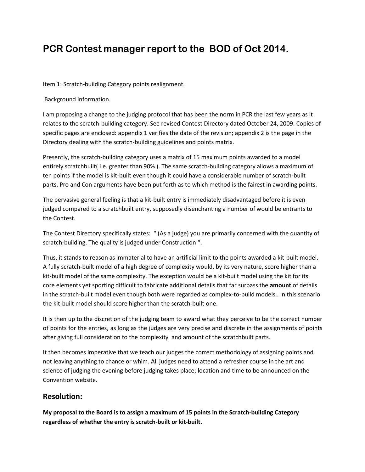## **PCR Contest manager report to the BOD of Oct 2014.**

Item 1: Scratch-building Category points realignment.

Background information.

I am proposing a change to the judging protocol that has been the norm in PCR the last few years as it relates to the scratch-building category. See revised Contest Directory dated October 24, 2009. Copies of specific pages are enclosed: appendix 1 verifies the date of the revision; appendix 2 is the page in the Directory dealing with the scratch-building guidelines and points matrix.

Presently, the scratch-building category uses a matrix of 15 maximum points awarded to a model entirely scratchbuilt( i.e. greater than 90% ). The same scratch-building category allows a maximum of ten points if the model is kit-built even though it could have a considerable number of scratch-built parts. Pro and Con arguments have been put forth as to which method is the fairest in awarding points.

The pervasive general feeling is that a kit-built entry is immediately disadvantaged before it is even judged compared to a scratchbuilt entry, supposedly disenchanting a number of would be entrants to the Contest.

The Contest Directory specifically states: " (As a judge) you are primarily concerned with the quantity of scratch-building. The quality is judged under Construction ".

Thus, it stands to reason as immaterial to have an artificial limit to the points awarded a kit-built model. A fully scratch-built model of a high degree of complexity would, by its very nature, score higher than a kit-built model of the same complexity. The exception would be a kit-built model using the kit for its core elements yet sporting difficult to fabricate additional details that far surpass the **amount** of details in the scratch-built model even though both were regarded as complex-to-build models.. In this scenario the kit-built model should score higher than the scratch-built one.

It is then up to the discretion of the judging team to award what they perceive to be the correct number of points for the entries, as long as the judges are very precise and discrete in the assignments of points after giving full consideration to the complexity and amount of the scratchbuilt parts.

It then becomes imperative that we teach our judges the correct methodology of assigning points and not leaving anything to chance or whim. All judges need to attend a refresher course in the art and science of judging the evening before judging takes place; location and time to be announced on the Convention website.

#### **Resolution:**

**My proposal to the Board is to assign a maximum of 15 points in the Scratch-building Category regardless of whether the entry is scratch-built or kit-built.**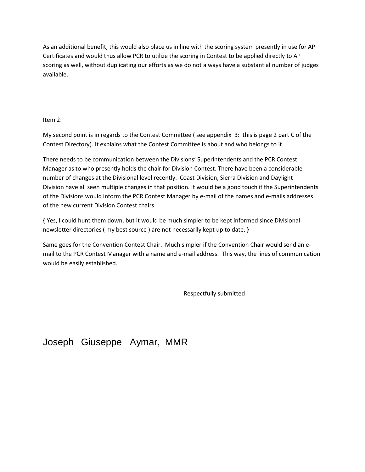As an additional benefit, this would also place us in line with the scoring system presently in use for AP Certificates and would thus allow PCR to utilize the scoring in Contest to be applied directly to AP scoring as well, without duplicating our efforts as we do not always have a substantial number of judges available.

#### Item 2:

My second point is in regards to the Contest Committee ( see appendix 3: this is page 2 part C of the Contest Directory). It explains what the Contest Committee is about and who belongs to it.

There needs to be communication between the Divisions' Superintendents and the PCR Contest Manager as to who presently holds the chair for Division Contest. There have been a considerable number of changes at the Divisional level recently. Coast Division, Sierra Division and Daylight Division have all seen multiple changes in that position. It would be a good touch if the Superintendents of the Divisions would inform the PCR Contest Manager by e-mail of the names and e-mails addresses of the new current Division Contest chairs.

**{** Yes, I could hunt them down, but it would be much simpler to be kept informed since Divisional newsletter directories ( my best source ) are not necessarily kept up to date. **}**

Same goes for the Convention Contest Chair. Much simpler if the Convention Chair would send an email to the PCR Contest Manager with a name and e-mail address. This way, the lines of communication would be easily established.

Respectfully submitted

## Joseph Giuseppe Aymar, MMR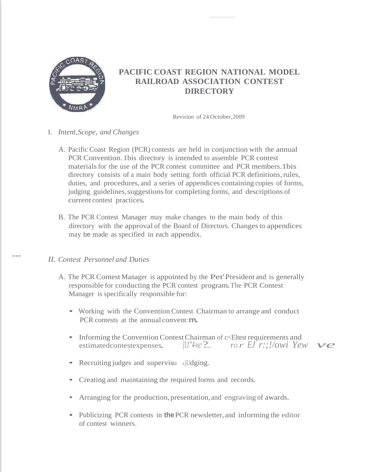

### **PACIFIC COAST REGION NATIONAL MODEL RAILROAD ASSOCIATION CONTEST DIRECTORY**

Revision of 24 October,2009

- I. *Intent,Scope, and Changes*
	- A. Pacific Coast Region (PCR) contests are held in conjunction with the annual PCR Convention. 1bis directory is intended to assemble PCR contest materials for the use of the PCR contest committee and PCR members. 1bis directory consists of a main body setting forth official PCR definitions,rules, duties, and procedures, and a series of appendices containing copies of forms, judging guidelines,suggestionsfor completing forms, and descriptions of current contest practices.
	- B. The PCR Contest Manager may make changes to the main body of this directory with the approval of the Board of Directors. Changesto appendices may be made as specified in each appendix.

#### *ll. Contest Personnel and Duties*

---

- A. The PCR Contest Manager is appointed by the Pet'President and is generally responsible for conducting the PCR contest program.The PCR Contest Manager is specifically responsible for:
	- Working with the Convention Contest Chairman to arrange and conduct PCR contests at the annual convent:**m.**
	- Informing the Convention Contest Chairman of c<Eltest requirements and estimatedcontestexpenses. *]11<sup>'''4</sup>-ve* ?... *ro r EJ r*:;!/*owi Yew ve*
	- Recruiting judges and supervisu ... jUdging.
	- Creating and maintaining the required forms and records.
	- Arranging for the production, presentation, and engraving of awards.
	- Publicizing PCR contests in **the** PCR newsletter, and informing the editor of contest winners.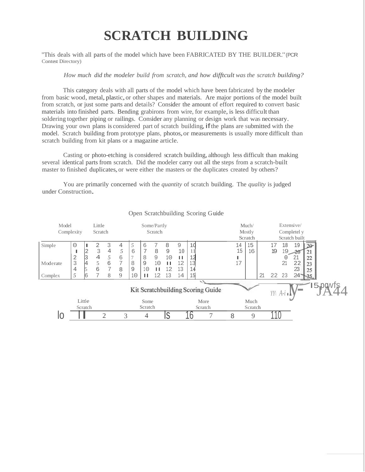# **SCRATCH BUILDING**

"This deals with all parts of the model which have been FABRICATED BY THE BUILDER."(PCR Contest Directory)

#### *How much did the modeler build from scratch, and how difftcult was the scratch building?*

This category deals with all parts of the model which have been fabricated by the modeler from basic wood, metal, plastic, or other shapes and materials. Are major portions of the model built from scratch, or just some parts and details? Consider the amount of effort required to convert basic materials into finished parts. Bending grabirons from wire, for example, is less difficult than soldering together piping or railings. Consider any planning or design work that was necessary. Drawing your own plans is considered part of scratch building, if the plans are submitted with the model. Scratch building from prototype plans, photos,or measurements is usually more difficult than scratch building from kit plans or a magazine article.

Casting or photo-etching is considered scratch building,although less difficult than making several identical parts from scratch. Did the modeler carry out all the steps from a scratch-built master to finished duplicates, or were either the masters or the duplicates created by others?

You are primarily concerned with the *quantity* of scratch building. The *quality* is judged under Construction.

| Model<br>Little                   |                |   | Some/Partly |         |                |        |                |    |         |      |         | Extensive/<br>Much/ |                              |                 |             |          |               |              |        |  |  |
|-----------------------------------|----------------|---|-------------|---------|----------------|--------|----------------|----|---------|------|---------|---------------------|------------------------------|-----------------|-------------|----------|---------------|--------------|--------|--|--|
| Complexity<br>Scratch             |                |   | Scratch     |         |                |        |                |    |         |      |         | Mostly              |                              |                 | Completel y |          |               |              |        |  |  |
|                                   |                |   |             |         |                |        |                |    |         |      |         |                     |                              | Scratch         |             |          | Scratch built |              |        |  |  |
| Simple                            | 0              |   | 2           | 3       | 4              | 5      | 6              | 7  | 8       | 9    | 1       |                     | 14                           | 15              |             | 17       | 18            | 19           | $20 -$ |  |  |
|                                   |                | 2 | 3           | 4       | 5              | 6      | $\overline{7}$ | 8  | 9       | 10   | 11      |                     | 15                           | 16              |             | 19       | .9            |              | 21     |  |  |
|                                   | $\overline{2}$ | 3 | 4           | 5       | 6              | $\tau$ | 8              | 9  | 10      | Ш    |         |                     |                              |                 |             |          | 0             | 21           | 22     |  |  |
| Moderate                          | 3              | 4 | 5           | 6       | $\overline{7}$ | 8      | 9              | 10 | ш       | 12   | 13      |                     | 17                           |                 |             |          | 21            | 22           | 23     |  |  |
|                                   | 4              |   | 6           | 7       | 8              | 9      | 10             | '' | .2      | 13   | 14      |                     |                              |                 |             |          |               | 23           | 25     |  |  |
| Complex                           | 5              |   |             | 8       | 9              | 10     | ш              | 12 | 13      | 14   | 15      |                     |                              |                 | 21          | 22       | 23            | $24^{\circ}$ |        |  |  |
|                                   |                |   |             |         |                |        |                |    |         |      |         | 11                  |                              |                 |             |          |               |              |        |  |  |
| Kit Scratchbuilding Scoring Guide |                |   |             |         |                |        |                |    |         |      |         |                     | $YY\ A\text{-}i\blacksquare$ | <b>Contract</b> |             | I5-pgwfs |               |              |        |  |  |
| Little                            |                |   |             | Some    |                |        |                |    |         | More | Much    |                     |                              |                 |             |          |               |              |        |  |  |
| Scratch                           |                |   |             | Scratch |                |        |                |    | Scratch |      | Scratch |                     |                              |                 |             |          |               |              |        |  |  |
|                                   |                |   |             |         | 3              |        | 4              |    | 15      |      |         |                     | 8                            | 9               |             |          |               |              |        |  |  |

#### Open Scratchbuilding Scoring Guide